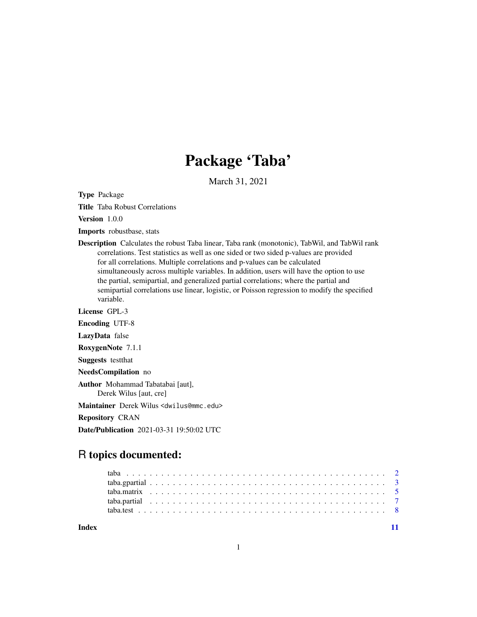# Package 'Taba'

March 31, 2021

Type Package

Title Taba Robust Correlations

Version 1.0.0

Imports robustbase, stats

Description Calculates the robust Taba linear, Taba rank (monotonic), TabWil, and TabWil rank correlations. Test statistics as well as one sided or two sided p-values are provided for all correlations. Multiple correlations and p-values can be calculated simultaneously across multiple variables. In addition, users will have the option to use the partial, semipartial, and generalized partial correlations; where the partial and semipartial correlations use linear, logistic, or Poisson regression to modify the specified variable.

License GPL-3

Encoding UTF-8

LazyData false

RoxygenNote 7.1.1

Suggests testthat

NeedsCompilation no

Author Mohammad Tabatabai [aut], Derek Wilus [aut, cre]

Maintainer Derek Wilus <dwilus@mmc.edu>

Repository CRAN

Date/Publication 2021-03-31 19:50:02 UTC

## R topics documented:

**Index** [11](#page-10-0)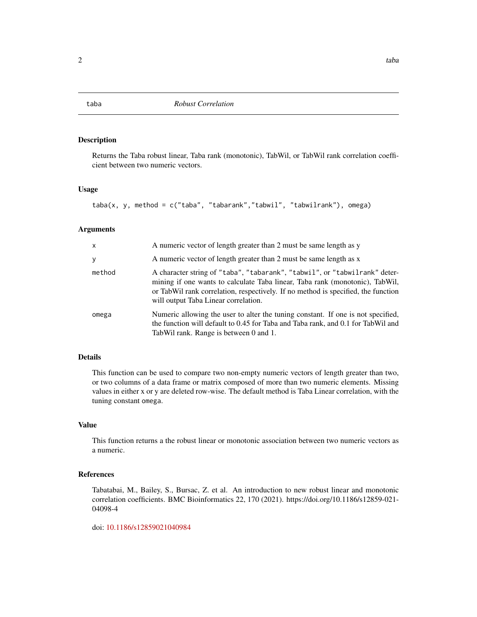#### Description

Returns the Taba robust linear, Taba rank (monotonic), TabWil, or TabWil rank correlation coefficient between two numeric vectors.

#### Usage

```
taba(x, y, method = c("taba", "tabarank","tabwil", "tabwilrank"), omega)
```
#### Arguments

| $\mathsf{x}$ | A numeric vector of length greater than 2 must be same length as y                                                                                                                                                                                                                      |
|--------------|-----------------------------------------------------------------------------------------------------------------------------------------------------------------------------------------------------------------------------------------------------------------------------------------|
| y            | A numeric vector of length greater than 2 must be same length as x                                                                                                                                                                                                                      |
| method       | A character string of "taba", "tabarank", "tabwil", or "tabwilrank" deter-<br>mining if one wants to calculate Taba linear, Taba rank (monotonic), TabWil,<br>or TabWil rank correlation, respectively. If no method is specified, the function<br>will output Taba Linear correlation. |
| omega        | Numeric allowing the user to alter the tuning constant. If one is not specified,<br>the function will default to 0.45 for Taba and Taba rank, and 0.1 for TabWil and<br>TabWil rank. Range is between 0 and 1.                                                                          |

#### Details

This function can be used to compare two non-empty numeric vectors of length greater than two, or two columns of a data frame or matrix composed of more than two numeric elements. Missing values in either x or y are deleted row-wise. The default method is Taba Linear correlation, with the tuning constant omega.

#### Value

This function returns a the robust linear or monotonic association between two numeric vectors as a numeric.

#### References

Tabatabai, M., Bailey, S., Bursac, Z. et al. An introduction to new robust linear and monotonic correlation coefficients. BMC Bioinformatics 22, 170 (2021). https://doi.org/10.1186/s12859-021- 04098-4

doi: [10.1186/s12859021040984](https://doi.org/10.1186/s12859-021-04098-4)

<span id="page-1-1"></span><span id="page-1-0"></span>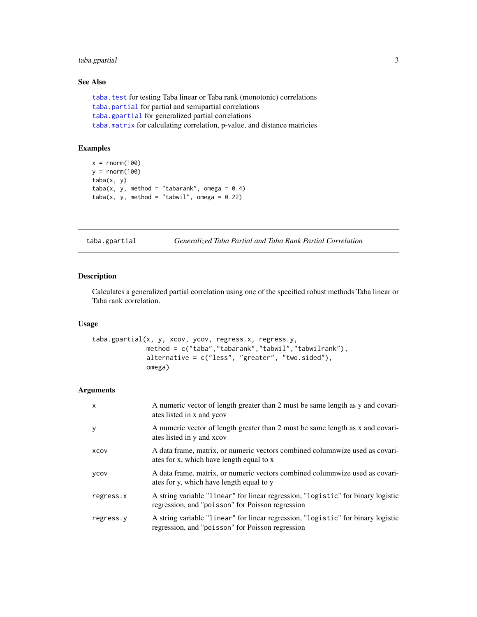#### <span id="page-2-0"></span>taba.gpartial 3

#### See Also

```
taba.test for testing Taba linear or Taba rank (monotonic) correlations
taba.partial for partial and semipartial correlations
taba.gpartial for generalized partial correlations
taba.matrix for calculating correlation, p-value, and distance matricies
```
#### Examples

```
x = rnorm(100)y = rnorm(100)
taba(x, y)
taba(x, y, method = "tabarank", omega = 0.4)taba(x, y, method = "tabwil", omega = 0.22)
```
<span id="page-2-1"></span>taba.gpartial *Generalized Taba Partial and Taba Rank Partial Correlation*

#### Description

Calculates a generalized partial correlation using one of the specified robust methods Taba linear or Taba rank correlation.

#### Usage

```
taba.gpartial(x, y, xcov, ycov, regress.x, regress.y,
              method = c("taba","tabarank","tabwil","tabwilrank"),
              alternative = c("less", "greater", "two.sided"),
              omega)
```
#### Arguments

| $\mathsf{x}$ | A numeric vector of length greater than 2 must be same length as y and covari-<br>ates listed in x and ycov                          |
|--------------|--------------------------------------------------------------------------------------------------------------------------------------|
| y            | A numeric vector of length greater than 2 must be same length as x and covari-<br>ates listed in y and xcov                          |
| XCOV         | A data frame, matrix, or numeric vectors combined columnwize used as covari-<br>ates for x, which have length equal to x             |
| ycov         | A data frame, matrix, or numeric vectors combined columnwize used as covari-<br>ates for y, which have length equal to y             |
| regress.x    | A string variable "linear" for linear regression, "logistic" for binary logistic<br>regression, and "poisson" for Poisson regression |
| regress.y    | A string variable "linear" for linear regression, "logistic" for binary logistic<br>regression, and "poisson" for Poisson regression |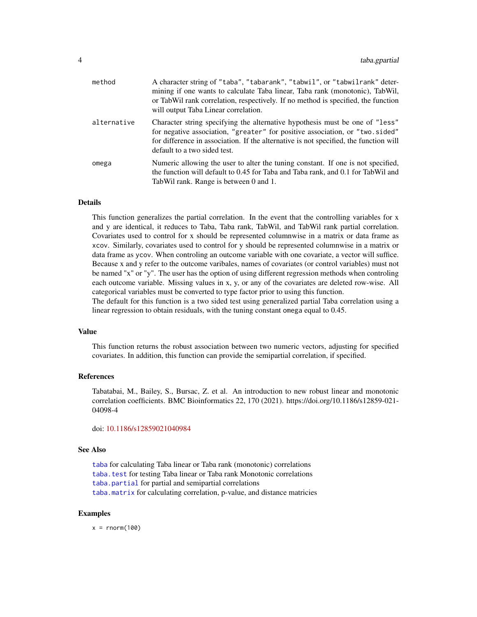<span id="page-3-0"></span>

| method      | A character string of "taba", "tabarank", "tabwil", or "tabwilrank" deter-<br>mining if one wants to calculate Taba linear, Taba rank (monotonic), TabWil,<br>or TabWil rank correlation, respectively. If no method is specified, the function<br>will output Taba Linear correlation. |
|-------------|-----------------------------------------------------------------------------------------------------------------------------------------------------------------------------------------------------------------------------------------------------------------------------------------|
| alternative | Character string specifying the alternative hypothesis must be one of "less"<br>for negative association, "greater" for positive association, or "two.sided"<br>for difference in association. If the alternative is not specified, the function will<br>default to a two sided test.   |
| omega       | Numeric allowing the user to alter the tuning constant. If one is not specified,<br>the function will default to 0.45 for Taba and Taba rank, and 0.1 for TabWil and<br>TabWil rank. Range is between 0 and 1.                                                                          |

#### Details

This function generalizes the partial correlation. In the event that the controlling variables for x and y are identical, it reduces to Taba, Taba rank, TabWil, and TabWil rank partial correlation. Covariates used to control for x should be represented columnwise in a matrix or data frame as xcov. Similarly, covariates used to control for y should be represented columnwise in a matrix or data frame as ycov. When controling an outcome variable with one covariate, a vector will suffice. Because x and y refer to the outcome varibales, names of covariates (or control variables) must not be named "x" or "y". The user has the option of using different regression methods when controling each outcome variable. Missing values in x, y, or any of the covariates are deleted row-wise. All categorical variables must be converted to type factor prior to using this function.

The default for this function is a two sided test using generalized partial Taba correlation using a linear regression to obtain residuals, with the tuning constant omega equal to 0.45.

#### Value

This function returns the robust association between two numeric vectors, adjusting for specified covariates. In addition, this function can provide the semipartial correlation, if specified.

#### References

Tabatabai, M., Bailey, S., Bursac, Z. et al. An introduction to new robust linear and monotonic correlation coefficients. BMC Bioinformatics 22, 170 (2021). https://doi.org/10.1186/s12859-021- 04098-4

doi: [10.1186/s12859021040984](https://doi.org/10.1186/s12859-021-04098-4)

#### See Also

[taba](#page-1-1) for calculating Taba linear or Taba rank (monotonic) correlations [taba.test](#page-7-1) for testing Taba linear or Taba rank Monotonic correlations [taba.partial](#page-6-1) for partial and semipartial correlations [taba.matrix](#page-4-1) for calculating correlation, p-value, and distance matricies

#### Examples

 $x = rnorm(100)$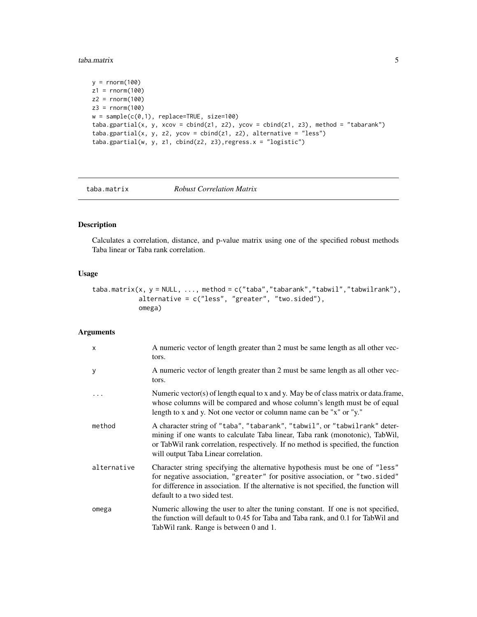#### <span id="page-4-0"></span>taba.matrix 5

```
y = rnorm(100)z1 = rnorm(100)z2 = rnorm(100)
z3 = rnorm(100)w = sample(c(0,1), replace=TRUE, size=100)taba.gpartial(x, y, xcov = cbind(z1, z2), ycov = cbind(z1, z3), method = "tabarank")
taba.gpartial(x, y, z2, ycov = cbind(z1, z2), alternative = "less")
taba.gpartial(w, y, z1, cbind(z2, z3),regress.x = "logistic")
```
<span id="page-4-1"></span>taba.matrix *Robust Correlation Matrix*

#### Description

Calculates a correlation, distance, and p-value matrix using one of the specified robust methods Taba linear or Taba rank correlation.

#### Usage

```
taba.matrix(x, y = NULL, ..., method = c("taba","tabarank","tabwil","tabwilrank"),
            alternative = c("less", "greater", "two.sided"),
            omega)
```
#### Arguments

| x           | A numeric vector of length greater than 2 must be same length as all other vec-<br>tors.                                                                                                                                                                                                |
|-------------|-----------------------------------------------------------------------------------------------------------------------------------------------------------------------------------------------------------------------------------------------------------------------------------------|
| У           | A numeric vector of length greater than 2 must be same length as all other vec-<br>tors.                                                                                                                                                                                                |
| $\ddots$    | Numeric vector(s) of length equal to x and y. May be of class matrix or data.frame,<br>whose columns will be compared and whose column's length must be of equal<br>length to x and y. Not one vector or column name can be "x" or "y."                                                 |
| method      | A character string of "taba", "tabarank", "tabwil", or "tabwilrank" deter-<br>mining if one wants to calculate Taba linear, Taba rank (monotonic), TabWil,<br>or TabWil rank correlation, respectively. If no method is specified, the function<br>will output Taba Linear correlation. |
| alternative | Character string specifying the alternative hypothesis must be one of "less"<br>for negative association, "greater" for positive association, or "two.sided"<br>for difference in association. If the alternative is not specified, the function will<br>default to a two sided test.   |
| omega       | Numeric allowing the user to alter the tuning constant. If one is not specified,<br>the function will default to 0.45 for Taba and Taba rank, and 0.1 for TabWil and<br>TabWil rank. Range is between 0 and 1.                                                                          |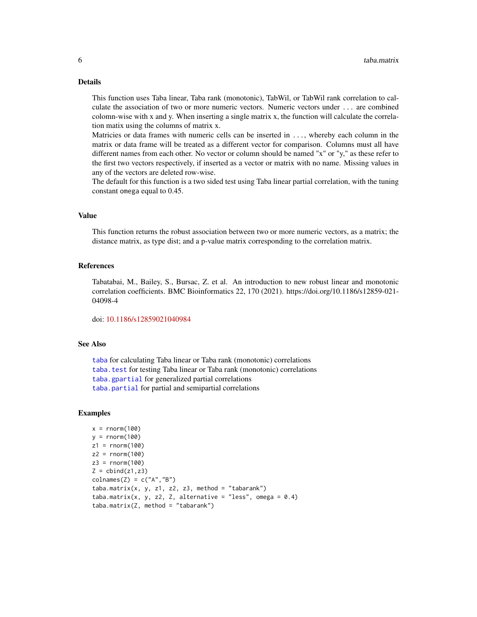#### <span id="page-5-0"></span>Details

This function uses Taba linear, Taba rank (monotonic), TabWil, or TabWil rank correlation to calculate the association of two or more numeric vectors. Numeric vectors under ... are combined colomn-wise with x and y. When inserting a single matrix x, the function will calculate the correlation matix using the columns of matrix x.

Matricies or data frames with numeric cells can be inserted in ..., whereby each column in the matrix or data frame will be treated as a different vector for comparison. Columns must all have different names from each other. No vector or column should be named "x" or "y," as these refer to the first two vectors respectively, if inserted as a vector or matrix with no name. Missing values in any of the vectors are deleted row-wise.

The default for this function is a two sided test using Taba linear partial correlation, with the tuning constant omega equal to 0.45.

#### Value

This function returns the robust association between two or more numeric vectors, as a matrix; the distance matrix, as type dist; and a p-value matrix corresponding to the correlation matrix.

#### References

Tabatabai, M., Bailey, S., Bursac, Z. et al. An introduction to new robust linear and monotonic correlation coefficients. BMC Bioinformatics 22, 170 (2021). https://doi.org/10.1186/s12859-021- 04098-4

doi: [10.1186/s12859021040984](https://doi.org/10.1186/s12859-021-04098-4)

#### See Also

[taba](#page-1-1) for calculating Taba linear or Taba rank (monotonic) correlations [taba.test](#page-7-1) for testing Taba linear or Taba rank (monotonic) correlations [taba.gpartial](#page-2-1) for generalized partial correlations [taba.partial](#page-6-1) for partial and semipartial correlations

#### Examples

```
x = rnorm(100)y = rnorm(100)z1 = rnorm(100)z2 = rnorm(100)z3 = rnorm(100)Z = \text{cbind}(z1, z3)colnames(Z) = c("A", "B")taba.matrix(x, y, z1, z2, z3, method = "tabarank")taba.matrix(x, y, z2, Z, alternative = "less", omega = 0.4)
taba.matrix(Z, method = "tabarank")
```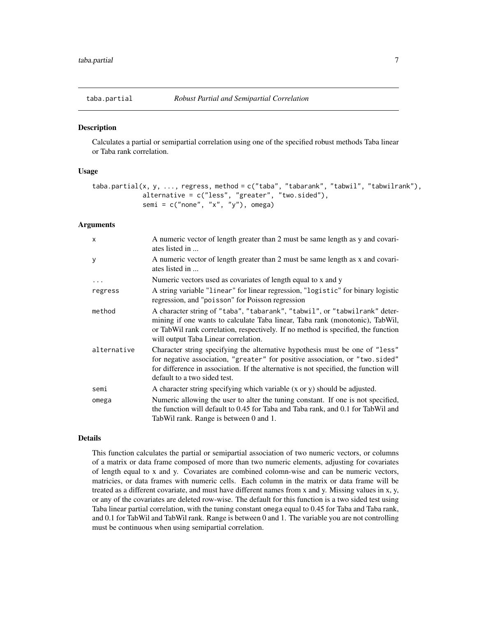<span id="page-6-1"></span><span id="page-6-0"></span>

#### Description

Calculates a partial or semipartial correlation using one of the specified robust methods Taba linear or Taba rank correlation.

#### Usage

```
taba.partial(x, y, ..., regress, method = c("taba", "tabarank", "tabwil", "tabwilrank"),
             alternative = c("less", "greater", "two.sided"),
             semi = c("none", "x", "y"), omega)
```
#### Arguments

| $\mathsf{x}$ | A numeric vector of length greater than 2 must be same length as y and covari-<br>ates listed in                                                                                                                                                                                        |
|--------------|-----------------------------------------------------------------------------------------------------------------------------------------------------------------------------------------------------------------------------------------------------------------------------------------|
| У            | A numeric vector of length greater than 2 must be same length as x and covari-<br>ates listed in                                                                                                                                                                                        |
| .            | Numeric vectors used as covariates of length equal to x and y                                                                                                                                                                                                                           |
| regress      | A string variable "linear" for linear regression, "logistic" for binary logistic<br>regression, and "poisson" for Poisson regression                                                                                                                                                    |
| method       | A character string of "taba", "tabarank", "tabwil", or "tabwilrank" deter-<br>mining if one wants to calculate Taba linear, Taba rank (monotonic), TabWil,<br>or TabWil rank correlation, respectively. If no method is specified, the function<br>will output Taba Linear correlation. |
| alternative  | Character string specifying the alternative hypothesis must be one of "less"<br>for negative association, "greater" for positive association, or "two.sided"<br>for difference in association. If the alternative is not specified, the function will<br>default to a two sided test.   |
| semi         | A character string specifying which variable (x or y) should be adjusted.                                                                                                                                                                                                               |
| omega        | Numeric allowing the user to alter the tuning constant. If one is not specified,<br>the function will default to 0.45 for Taba and Taba rank, and 0.1 for TabWil and<br>TabWil rank. Range is between 0 and 1.                                                                          |

#### Details

This function calculates the partial or semipartial association of two numeric vectors, or columns of a matrix or data frame composed of more than two numeric elements, adjusting for covariates of length equal to x and y. Covariates are combined colomn-wise and can be numeric vectors, matricies, or data frames with numeric cells. Each column in the matrix or data frame will be treated as a different covariate, and must have different names from x and y. Missing values in x, y, or any of the covariates are deleted row-wise. The default for this function is a two sided test using Taba linear partial correlation, with the tuning constant omega equal to 0.45 for Taba and Taba rank, and 0.1 for TabWil and TabWil rank. Range is between 0 and 1. The variable you are not controlling must be continuous when using semipartial correlation.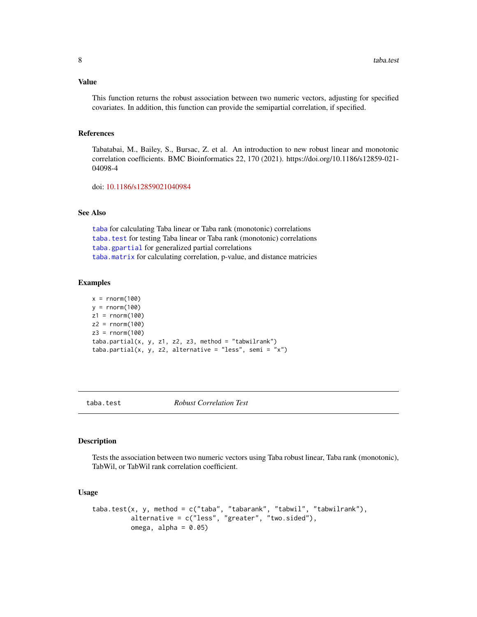#### <span id="page-7-0"></span>Value

This function returns the robust association between two numeric vectors, adjusting for specified covariates. In addition, this function can provide the semipartial correlation, if specified.

#### References

Tabatabai, M., Bailey, S., Bursac, Z. et al. An introduction to new robust linear and monotonic correlation coefficients. BMC Bioinformatics 22, 170 (2021). https://doi.org/10.1186/s12859-021- 04098-4

doi: [10.1186/s12859021040984](https://doi.org/10.1186/s12859-021-04098-4)

#### See Also

[taba](#page-1-1) for calculating Taba linear or Taba rank (monotonic) correlations [taba.test](#page-7-1) for testing Taba linear or Taba rank (monotonic) correlations [taba.gpartial](#page-2-1) for generalized partial correlations [taba.matrix](#page-4-1) for calculating correlation, p-value, and distance matricies

#### Examples

```
x = rnorm(100)y = rnorm(100)
z1 = rnorm(100)z2 = rnorm(100)z3 = rnorm(100)
taba.partial(x, y, z1, z2, z3, method = "tabwilrank")
taba.partial(x, y, z2, alternative = "less", semi = "x")
```
<span id="page-7-1"></span>

taba.test *Robust Correlation Test*

#### **Description**

Tests the association between two numeric vectors using Taba robust linear, Taba rank (monotonic), TabWil, or TabWil rank correlation coefficient.

#### Usage

```
taba.test(x, y, method = c("taba", "tabarank", "tabwil", "tabwilrank"),
          alternative = c("less", "greater", "two.sided"),
          omega, alpha = 0.05)
```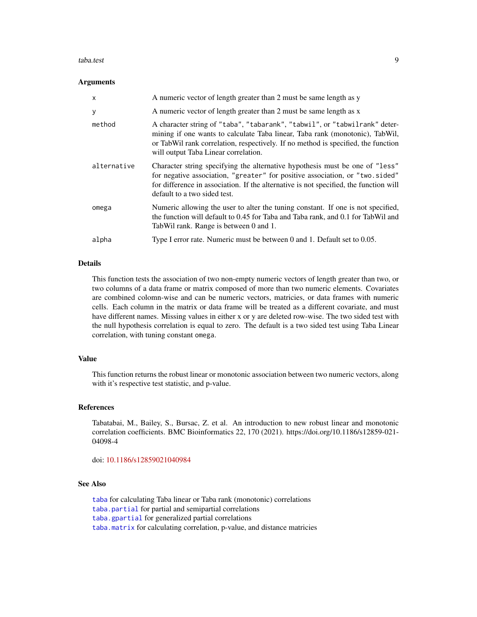#### <span id="page-8-0"></span>taba.test 9

#### Arguments

| $\mathsf{x}$ | A numeric vector of length greater than 2 must be same length as y                                                                                                                                                                                                                      |
|--------------|-----------------------------------------------------------------------------------------------------------------------------------------------------------------------------------------------------------------------------------------------------------------------------------------|
| У            | A numeric vector of length greater than 2 must be same length as x                                                                                                                                                                                                                      |
| method       | A character string of "taba", "tabarank", "tabwil", or "tabwilrank" deter-<br>mining if one wants to calculate Taba linear, Taba rank (monotonic), TabWil,<br>or TabWil rank correlation, respectively. If no method is specified, the function<br>will output Taba Linear correlation. |
| alternative  | Character string specifying the alternative hypothesis must be one of "less"<br>for negative association, "greater" for positive association, or "two.sided"<br>for difference in association. If the alternative is not specified, the function will<br>default to a two sided test.   |
| omega        | Numeric allowing the user to alter the tuning constant. If one is not specified,<br>the function will default to 0.45 for Taba and Taba rank, and 0.1 for TabWil and<br>TabWil rank. Range is between 0 and 1.                                                                          |
| alpha        | Type I error rate. Numeric must be between 0 and 1. Default set to 0.05.                                                                                                                                                                                                                |

#### Details

This function tests the association of two non-empty numeric vectors of length greater than two, or two columns of a data frame or matrix composed of more than two numeric elements. Covariates are combined colomn-wise and can be numeric vectors, matricies, or data frames with numeric cells. Each column in the matrix or data frame will be treated as a different covariate, and must have different names. Missing values in either x or y are deleted row-wise. The two sided test with the null hypothesis correlation is equal to zero. The default is a two sided test using Taba Linear correlation, with tuning constant omega.

#### Value

This function returns the robust linear or monotonic association between two numeric vectors, along with it's respective test statistic, and p-value.

#### References

Tabatabai, M., Bailey, S., Bursac, Z. et al. An introduction to new robust linear and monotonic correlation coefficients. BMC Bioinformatics 22, 170 (2021). https://doi.org/10.1186/s12859-021- 04098-4

doi: [10.1186/s12859021040984](https://doi.org/10.1186/s12859-021-04098-4)

#### See Also

[taba](#page-1-1) for calculating Taba linear or Taba rank (monotonic) correlations [taba.partial](#page-6-1) for partial and semipartial correlations [taba.gpartial](#page-2-1) for generalized partial correlations [taba.matrix](#page-4-1) for calculating correlation, p-value, and distance matricies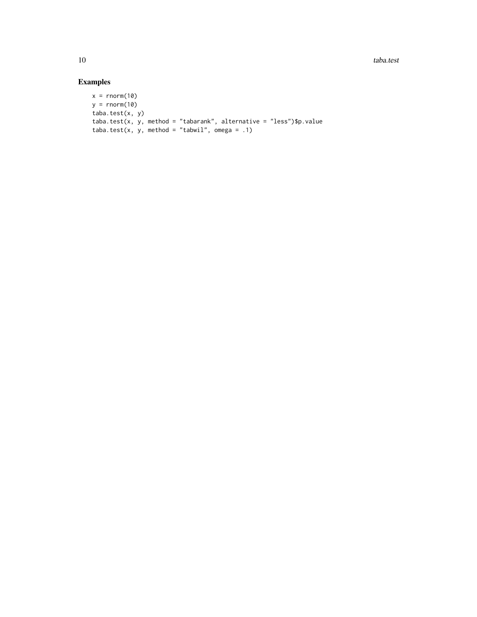10 taba.test taba.test taba.test taba.test taba.test taba.test taba.test taba.test taba.test taba.test taba.test taba.test taba.test taba.test taba.test taba.test taba.test taba.test taba.test taba.test taba.test taba.test

### Examples

```
x = rnorm(10)y = rnorm(10)taba.test(x, y)
taba.test(x, y, method = "tabarank", alternative = "less")$p.value
taba.test(x, y, method = "tabwil", omega = .1)
```